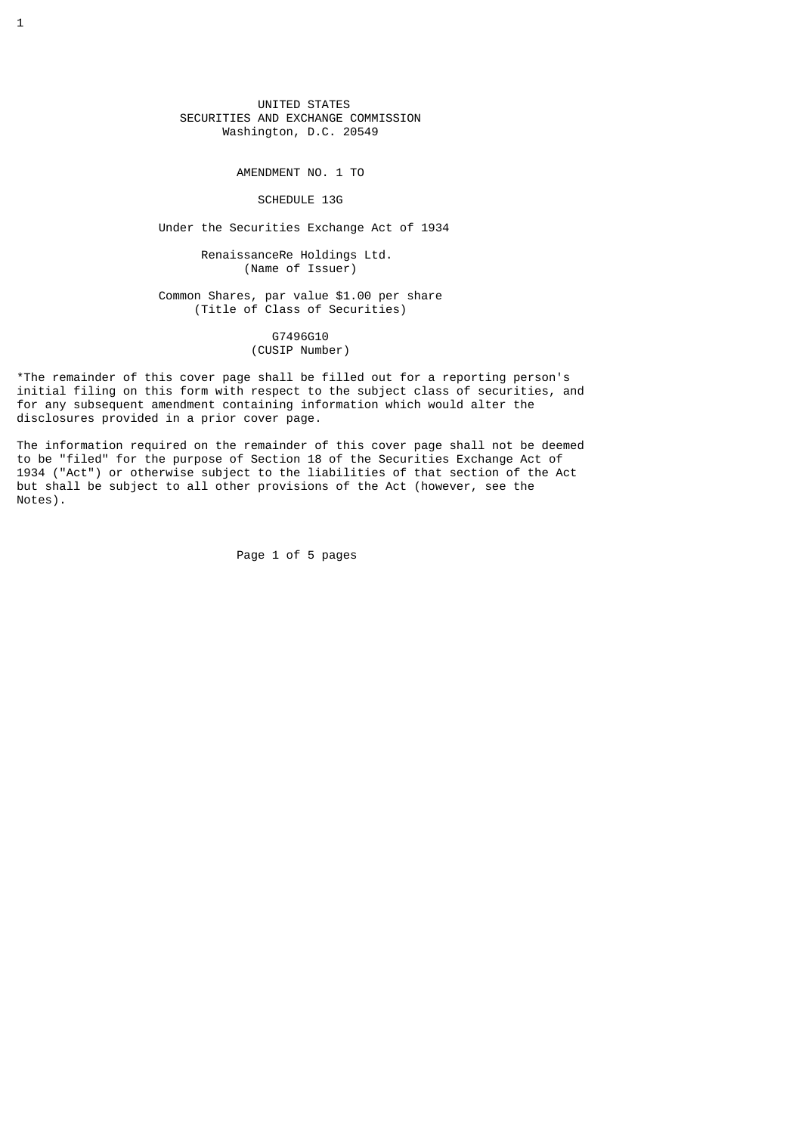UNITED STATES SECURITIES AND EXCHANGE COMMISSION Washington, D.C. 20549

AMENDMENT NO. 1 TO

## SCHEDULE 13G

Under the Securities Exchange Act of 1934

 RenaissanceRe Holdings Ltd. (Name of Issuer)

 Common Shares, par value \$1.00 per share (Title of Class of Securities)

## G7496G10 (CUSIP Number)

\*The remainder of this cover page shall be filled out for a reporting person's initial filing on this form with respect to the subject class of securities, and for any subsequent amendment containing information which would alter the disclosures provided in a prior cover page.

The information required on the remainder of this cover page shall not be deemed to be "filed" for the purpose of Section 18 of the Securities Exchange Act of 1934 ("Act") or otherwise subject to the liabilities of that section of the Act but shall be subject to all other provisions of the Act (however, see the Notes).

Page 1 of 5 pages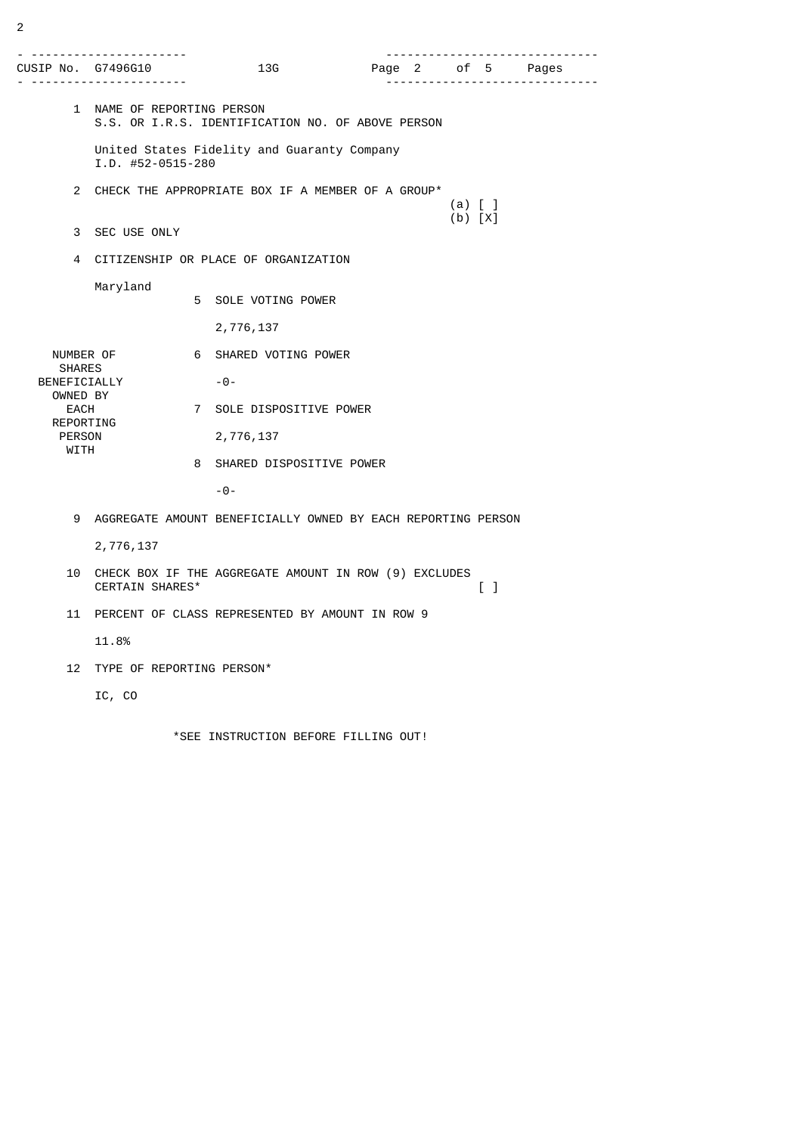|                              | CUSIP No. G7496G10<br>. <u>.</u> .                                                                            |   | 13G                      |                                                                |  |  |  | Page 2 of 5 Pages<br>. <u>.</u> |
|------------------------------|---------------------------------------------------------------------------------------------------------------|---|--------------------------|----------------------------------------------------------------|--|--|--|---------------------------------|
|                              | 1 NAME OF REPORTING PERSON<br>S.S. OR I.R.S. IDENTIFICATION NO. OF ABOVE PERSON                               |   |                          |                                                                |  |  |  |                                 |
|                              | United States Fidelity and Guaranty Company<br>$I.D.$ #52-0515-280                                            |   |                          |                                                                |  |  |  |                                 |
| $\mathbf{2}^{\circ}$         |                                                                                                               |   |                          | CHECK THE APPROPRIATE BOX IF A MEMBER OF A GROUP*<br>$(a)$ [ ] |  |  |  |                                 |
|                              | 3 SEC USE ONLY                                                                                                |   | $(b) [X]$                |                                                                |  |  |  |                                 |
| 4                            | CITIZENSHIP OR PLACE OF ORGANIZATION                                                                          |   |                          |                                                                |  |  |  |                                 |
|                              | Maryland                                                                                                      |   | 5 SOLE VOTING POWER      |                                                                |  |  |  |                                 |
|                              |                                                                                                               |   | 2,776,137                |                                                                |  |  |  |                                 |
| <b>SHARES</b>                | NUMBER OF                                                                                                     |   | 6 SHARED VOTING POWER    |                                                                |  |  |  |                                 |
|                              | BENEFICIALLY<br>OWNED BY                                                                                      |   | -0-                      |                                                                |  |  |  |                                 |
| EACH                         | REPORTING                                                                                                     |   | 7 SOLE DISPOSITIVE POWER |                                                                |  |  |  |                                 |
| <b>PERSON</b><br><b>WITH</b> |                                                                                                               |   | 2,776,137                |                                                                |  |  |  |                                 |
|                              |                                                                                                               | 8 | SHARED DISPOSITIVE POWER |                                                                |  |  |  |                                 |
|                              |                                                                                                               |   | $-0-$                    |                                                                |  |  |  |                                 |
| 9                            | AGGREGATE AMOUNT BENEFICIALLY OWNED BY EACH REPORTING PERSON                                                  |   |                          |                                                                |  |  |  |                                 |
|                              | 2,776,137                                                                                                     |   |                          |                                                                |  |  |  |                                 |
| 10                           | CHECK BOX IF THE AGGREGATE AMOUNT IN ROW (9) EXCLUDES<br>CERTAIN SHARES*<br>$\begin{bmatrix} 1 \end{bmatrix}$ |   |                          |                                                                |  |  |  |                                 |
| 11                           | PERCENT OF CLASS REPRESENTED BY AMOUNT IN ROW 9                                                               |   |                          |                                                                |  |  |  |                                 |
|                              | 11.8%                                                                                                         |   |                          |                                                                |  |  |  |                                 |
| 12                           | TYPE OF REPORTING PERSON*                                                                                     |   |                          |                                                                |  |  |  |                                 |
|                              | IC, CO                                                                                                        |   |                          |                                                                |  |  |  |                                 |
|                              |                                                                                                               |   |                          |                                                                |  |  |  |                                 |

\*SEE INSTRUCTION BEFORE FILLING OUT!

2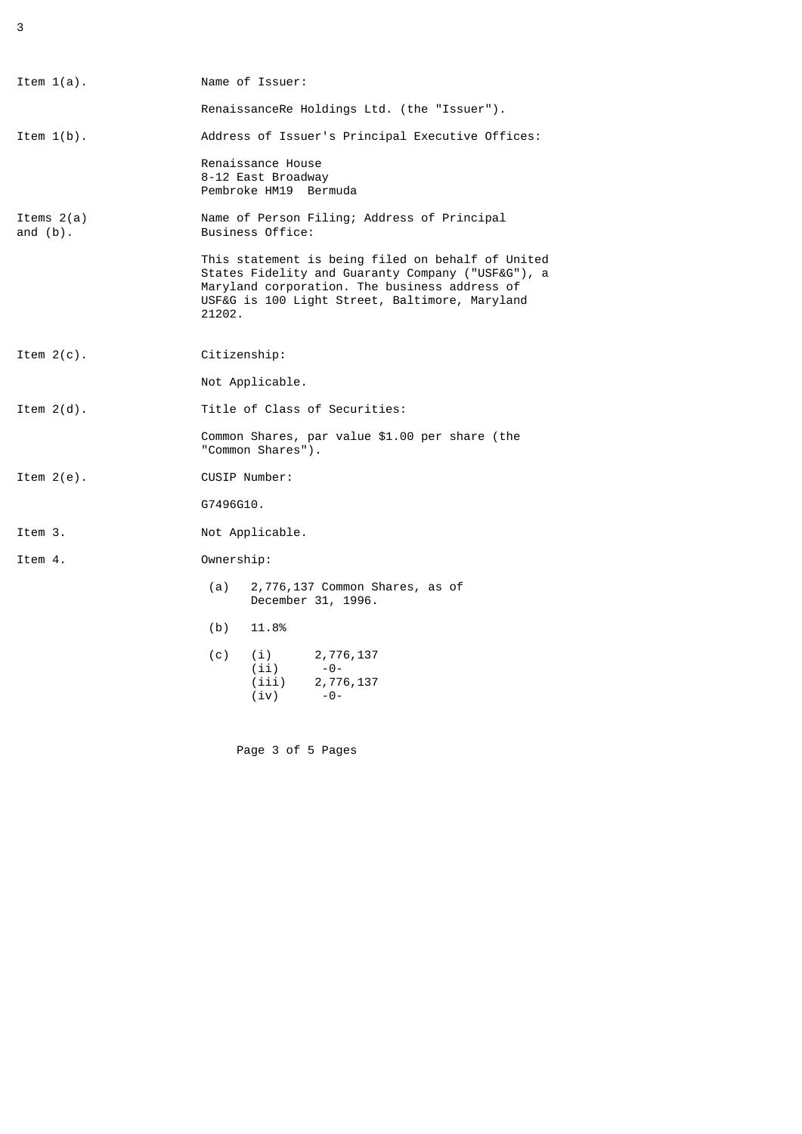3

| Item $1(a)$ .               | Name of Issuer:                                                                                                                                                                                                     |                                                      |  |  |  |  |
|-----------------------------|---------------------------------------------------------------------------------------------------------------------------------------------------------------------------------------------------------------------|------------------------------------------------------|--|--|--|--|
|                             | RenaissanceRe Holdings Ltd. (the "Issuer").                                                                                                                                                                         |                                                      |  |  |  |  |
| Item $1(b)$ .               | Address of Issuer's Principal Executive Offices:                                                                                                                                                                    |                                                      |  |  |  |  |
|                             | Renaissance House<br>8-12 East Broadway<br>Pembroke HM19<br>Bermuda                                                                                                                                                 |                                                      |  |  |  |  |
| Items $2(a)$<br>and $(b)$ . | Name of Person Filing; Address of Principal<br>Business Office:                                                                                                                                                     |                                                      |  |  |  |  |
|                             | This statement is being filed on behalf of United<br>States Fidelity and Guaranty Company ("USF&G"), a<br>Maryland corporation. The business address of<br>USF&G is 100 Light Street, Baltimore, Maryland<br>21202. |                                                      |  |  |  |  |
| Item $2(c)$ .               | Citizenship:                                                                                                                                                                                                        |                                                      |  |  |  |  |
|                             | Not Applicable.                                                                                                                                                                                                     |                                                      |  |  |  |  |
| Item $2(d)$ .               | Title of Class of Securities:                                                                                                                                                                                       |                                                      |  |  |  |  |
|                             | Common Shares, par value \$1.00 per share (the<br>"Common Shares").                                                                                                                                                 |                                                      |  |  |  |  |
| Item $2(e)$ .               | CUSIP Number:                                                                                                                                                                                                       |                                                      |  |  |  |  |
|                             | G7496G10.                                                                                                                                                                                                           |                                                      |  |  |  |  |
| Item 3.                     | Not Applicable.                                                                                                                                                                                                     |                                                      |  |  |  |  |
| Item 4.                     | Ownership:                                                                                                                                                                                                          |                                                      |  |  |  |  |
|                             | (a)                                                                                                                                                                                                                 | 2,776,137 Common Shares, as of<br>December 31, 1996. |  |  |  |  |
|                             | (b)<br>11.8%                                                                                                                                                                                                        |                                                      |  |  |  |  |
|                             | (c)<br>(i)<br>(ii)<br>(iii)<br>(iv)                                                                                                                                                                                 | 2,776,137<br>- 0 -<br>2,776,137<br>$-0-$             |  |  |  |  |

Page 3 of 5 Pages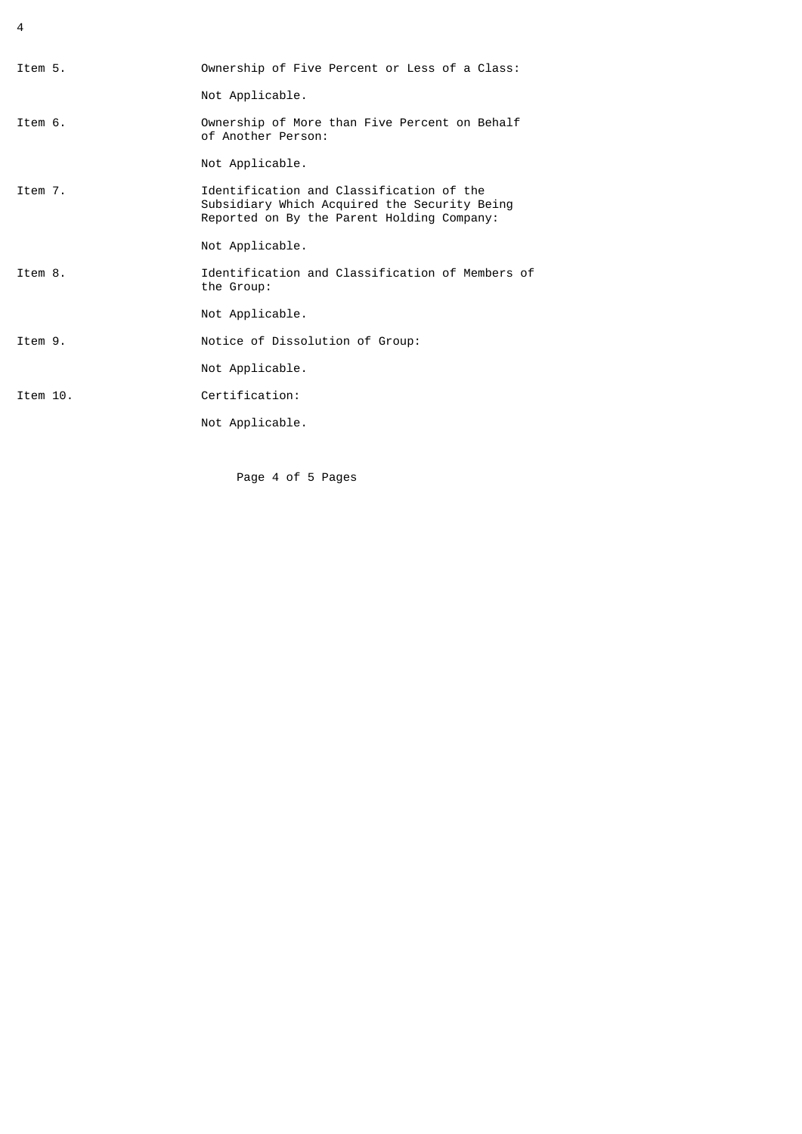4

| Item 5.  | Ownership of Five Percent or Less of a Class:                                                                                          |
|----------|----------------------------------------------------------------------------------------------------------------------------------------|
|          | Not Applicable.                                                                                                                        |
| Item 6.  | Ownership of More than Five Percent on Behalf<br>of Another Person:                                                                    |
|          | Not Applicable.                                                                                                                        |
| Item 7.  | Identification and Classification of the<br>Subsidiary Which Acquired the Security Being<br>Reported on By the Parent Holding Company: |
|          | Not Applicable.                                                                                                                        |
| Ttem 8.  | Identification and Classification of Members of<br>the Group:                                                                          |
|          | Not Applicable.                                                                                                                        |
| Ttem 9.  | Notice of Dissolution of Group:                                                                                                        |
|          | Not Applicable.                                                                                                                        |
| Item 10. | Certification:                                                                                                                         |
|          | Not Applicable.                                                                                                                        |
|          |                                                                                                                                        |

Page 4 of 5 Pages